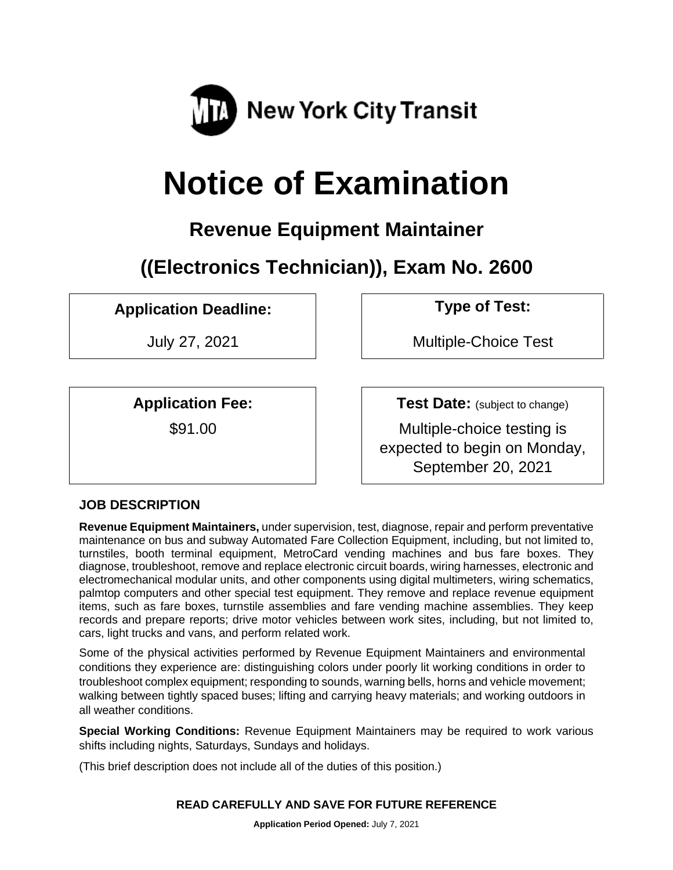

# **Notice of Examination**

# **Revenue Equipment Maintainer**

**((Electronics Technician)), Exam No. 2600**

# **Application Deadline: Type of Test:**

**Application Fee:**

\$91.00

July 27, 2021 Multiple-Choice Test

**Test Date:** (subject to change) Multiple-choice testing is expected to begin on Monday,

September 20, 2021

# **JOB DESCRIPTION**

**Revenue Equipment Maintainers,** under supervision, test, diagnose, repair and perform preventative maintenance on bus and subway Automated Fare Collection Equipment, including, but not limited to, turnstiles, booth terminal equipment, MetroCard vending machines and bus fare boxes. They diagnose, troubleshoot, remove and replace electronic circuit boards, wiring harnesses, electronic and electromechanical modular units, and other components using digital multimeters, wiring schematics, palmtop computers and other special test equipment. They remove and replace revenue equipment items, such as fare boxes, turnstile assemblies and fare vending machine assemblies. They keep records and prepare reports; drive motor vehicles between work sites, including, but not limited to, cars, light trucks and vans, and perform related work.

Some of the physical activities performed by Revenue Equipment Maintainers and environmental conditions they experience are: distinguishing colors under poorly lit working conditions in order to troubleshoot complex equipment; responding to sounds, warning bells, horns and vehicle movement; walking between tightly spaced buses; lifting and carrying heavy materials; and working outdoors in all weather conditions.

**Special Working Conditions:** Revenue Equipment Maintainers may be required to work various shifts including nights, Saturdays, Sundays and holidays.

(This brief description does not include all of the duties of this position.)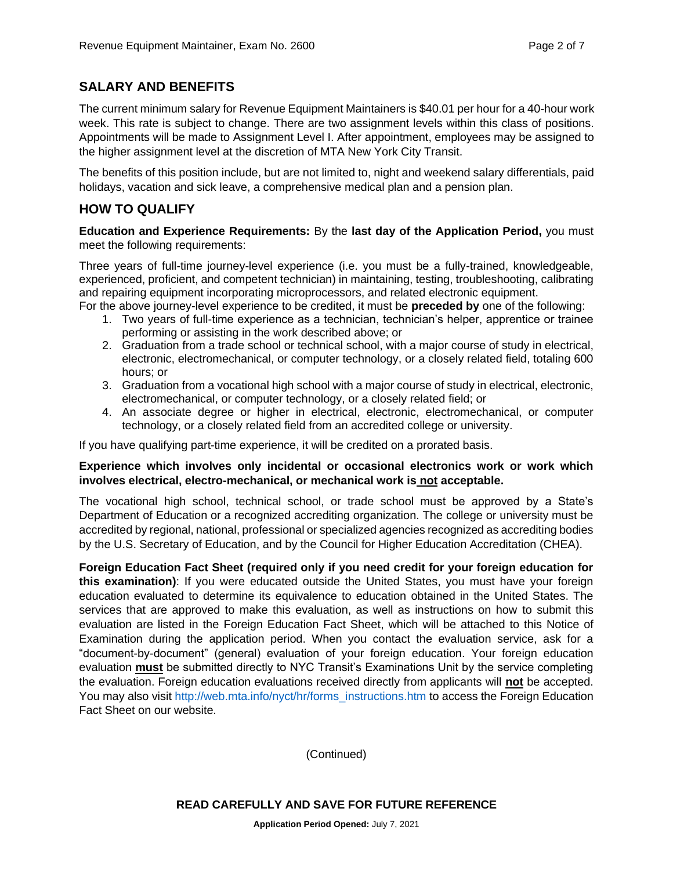#### **SALARY AND BENEFITS**

The current minimum salary for Revenue Equipment Maintainers is \$40.01 per hour for a 40-hour work week. This rate is subject to change. There are two assignment levels within this class of positions. Appointments will be made to Assignment Level I. After appointment, employees may be assigned to the higher assignment level at the discretion of MTA New York City Transit.

The benefits of this position include, but are not limited to, night and weekend salary differentials, paid holidays, vacation and sick leave, a comprehensive medical plan and a pension plan.

#### **HOW TO QUALIFY**

**Education and Experience Requirements:** By the **last day of the Application Period,** you must meet the following requirements:

Three years of full-time journey-level experience (i.e. you must be a fully-trained, knowledgeable, experienced, proficient, and competent technician) in maintaining, testing, troubleshooting, calibrating and repairing equipment incorporating microprocessors, and related electronic equipment.

- For the above journey-level experience to be credited, it must be **preceded by** one of the following:
	- 1. Two years of full-time experience as a technician, technician's helper, apprentice or trainee performing or assisting in the work described above; or
	- 2. Graduation from a trade school or technical school, with a major course of study in electrical, electronic, electromechanical, or computer technology, or a closely related field, totaling 600 hours; or
	- 3. Graduation from a vocational high school with a major course of study in electrical, electronic, electromechanical, or computer technology, or a closely related field; or
	- 4. An associate degree or higher in electrical, electronic, electromechanical, or computer technology, or a closely related field from an accredited college or university.

If you have qualifying part-time experience, it will be credited on a prorated basis.

#### **Experience which involves only incidental or occasional electronics work or work which involves electrical, electro-mechanical, or mechanical work is not acceptable.**

The vocational high school, technical school, or trade school must be approved by a State's Department of Education or a recognized accrediting organization. The college or university must be accredited by regional, national, professional or specialized agencies recognized as accrediting bodies by the U.S. Secretary of Education, and by the Council for Higher Education Accreditation (CHEA).

**Foreign Education Fact Sheet (required only if you need credit for your foreign education for this examination)**: If you were educated outside the United States, you must have your foreign education evaluated to determine its equivalence to education obtained in the United States. The services that are approved to make this evaluation, as well as instructions on how to submit this evaluation are listed in the Foreign Education Fact Sheet, which will be attached to this Notice of Examination during the application period. When you contact the evaluation service, ask for a "document-by-document" (general) evaluation of your foreign education. Your foreign education evaluation **must** be submitted directly to NYC Transit's Examinations Unit by the service completing the evaluation. Foreign education evaluations received directly from applicants will **not** be accepted. You may also visit [http://web.mta.info/nyct/hr/forms\\_instructions.htm](http://web.mta.info/nyct/hr/forms_instructions.htm) to access the Foreign Education Fact Sheet on our website.

(Continued)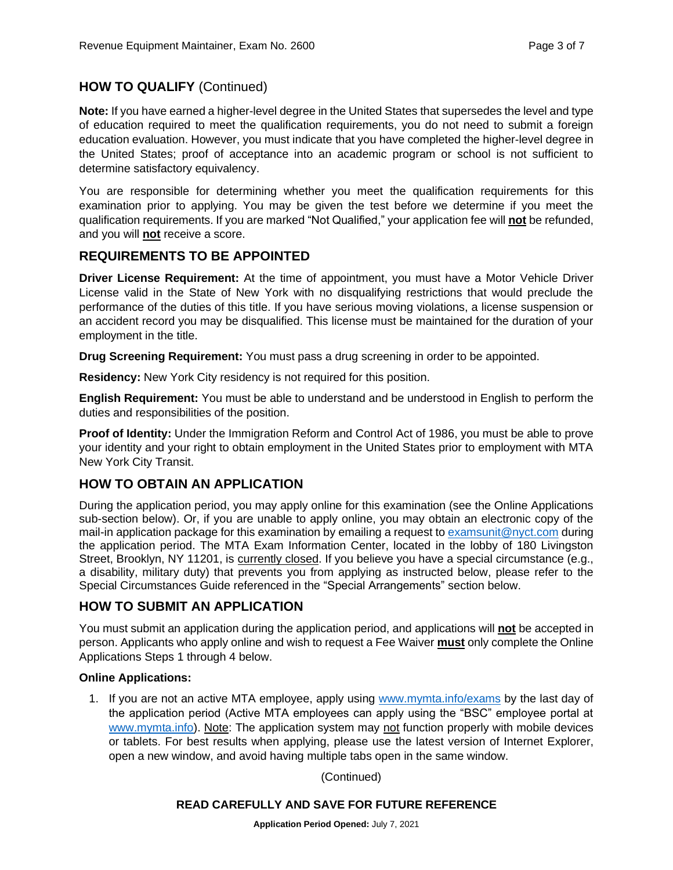#### **HOW TO QUALIFY** (Continued)

**Note:** If you have earned a higher-level degree in the United States that supersedes the level and type of education required to meet the qualification requirements, you do not need to submit a foreign education evaluation. However, you must indicate that you have completed the higher-level degree in the United States; proof of acceptance into an academic program or school is not sufficient to determine satisfactory equivalency.

You are responsible for determining whether you meet the qualification requirements for this examination prior to applying. You may be given the test before we determine if you meet the qualification requirements. If you are marked "Not Qualified," your application fee will **not** be refunded, and you will **not** receive a score.

#### **REQUIREMENTS TO BE APPOINTED**

**Driver License Requirement:** At the time of appointment, you must have a Motor Vehicle Driver License valid in the State of New York with no disqualifying restrictions that would preclude the performance of the duties of this title. If you have serious moving violations, a license suspension or an accident record you may be disqualified. This license must be maintained for the duration of your employment in the title.

**Drug Screening Requirement:** You must pass a drug screening in order to be appointed.

**Residency:** New York City residency is not required for this position.

**English Requirement:** You must be able to understand and be understood in English to perform the duties and responsibilities of the position.

**Proof of Identity:** Under the Immigration Reform and Control Act of 1986, you must be able to prove your identity and your right to obtain employment in the United States prior to employment with MTA New York City Transit.

#### **HOW TO OBTAIN AN APPLICATION**

During the application period, you may apply online for this examination (see the Online Applications sub-section below). Or, if you are unable to apply online, you may obtain an electronic copy of the mail-in application package for this examination by emailing a request to [examsunit@nyct.com](mailto:examsunit@nyct.com) during the application period. The MTA Exam Information Center, located in the lobby of 180 Livingston Street, Brooklyn, NY 11201, is currently closed. If you believe you have a special circumstance (e.g., a disability, military duty) that prevents you from applying as instructed below, please refer to the Special Circumstances Guide referenced in the "Special Arrangements" section below.

#### **HOW TO SUBMIT AN APPLICATION**

You must submit an application during the application period, and applications will **not** be accepted in person. Applicants who apply online and wish to request a Fee Waiver **must** only complete the Online Applications Steps 1 through 4 below.

#### **Online Applications:**

1. If you are not an active MTA employee, apply using [www.mymta.info/exams](http://www.mymta.info/exams) by the last day of the application period (Active MTA employees can apply using the "BSC" employee portal at [www.mymta.info\)](http://www.mymta.info/). Note: The application system may not function properly with mobile devices or tablets. For best results when applying, please use the latest version of Internet Explorer, open a new window, and avoid having multiple tabs open in the same window.

(Continued)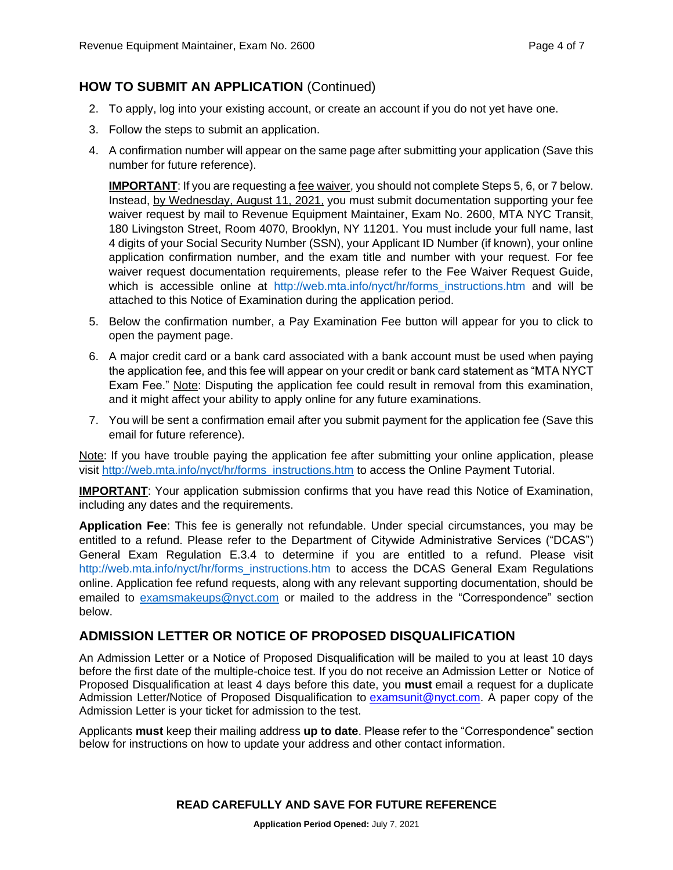## **HOW TO SUBMIT AN APPLICATION** (Continued)

- 2. To apply, log into your existing account, or create an account if you do not yet have one.
- 3. Follow the steps to submit an application.
- 4. A confirmation number will appear on the same page after submitting your application (Save this number for future reference).

**IMPORTANT:** If you are requesting a fee waiver, you should not complete Steps 5, 6, or 7 below. Instead, by Wednesday, August 11, 2021, you must submit documentation supporting your fee waiver request by mail to Revenue Equipment Maintainer, Exam No. 2600, MTA NYC Transit, 180 Livingston Street, Room 4070, Brooklyn, NY 11201. You must include your full name, last 4 digits of your Social Security Number (SSN), your Applicant ID Number (if known), your online application confirmation number, and the exam title and number with your request. For fee waiver request documentation requirements, please refer to the Fee Waiver Request Guide, which is accessible online at http://web.mta.info/nyct/hr/forms instructions.htm and will be attached to this Notice of Examination during the application period.

- 5. Below the confirmation number, a Pay Examination Fee button will appear for you to click to open the payment page.
- 6. A major credit card or a bank card associated with a bank account must be used when paying the application fee, and this fee will appear on your credit or bank card statement as "MTA NYCT Exam Fee." Note: Disputing the application fee could result in removal from this examination, and it might affect your ability to apply online for any future examinations.
- 7. You will be sent a confirmation email after you submit payment for the application fee (Save this email for future reference).

Note: If you have trouble paying the application fee after submitting your online application, please visit [http://web.mta.info/nyct/hr/forms\\_instructions.htm](http://web.mta.info/nyct/hr/forms_instructions.htm) to access the Online Payment Tutorial.

**IMPORTANT**: Your application submission confirms that you have read this Notice of Examination, including any dates and the requirements.

**Application Fee**: This fee is generally not refundable. Under special circumstances, you may be entitled to a refund. Please refer to the Department of Citywide Administrative Services ("DCAS") General Exam Regulation E.3.4 to determine if you are entitled to a refund. Please visit [http://web.mta.info/nyct/hr/forms\\_instructions.htm](http://web.mta.info/nyct/hr/forms_instructions.htm) to access the DCAS General Exam Regulations online. Application fee refund requests, along with any relevant supporting documentation, should be emailed to [examsmakeups@nyct.com](mailto:examsmakeups@nyct.com) or mailed to the address in the "Correspondence" section below.

#### **ADMISSION LETTER OR NOTICE OF PROPOSED DISQUALIFICATION**

An Admission Letter or a Notice of Proposed Disqualification will be mailed to you at least 10 days before the first date of the multiple-choice test. If you do not receive an Admission Letter or Notice of Proposed Disqualification at least 4 days before this date, you **must** email a request for a duplicate Admission Letter/Notice of Proposed Disqualification to [examsunit@nyct.com.](mailto:examsunit@nyct.com) A paper copy of the Admission Letter is your ticket for admission to the test.

Applicants **must** keep their mailing address **up to date**. Please refer to the "Correspondence" section below for instructions on how to update your address and other contact information.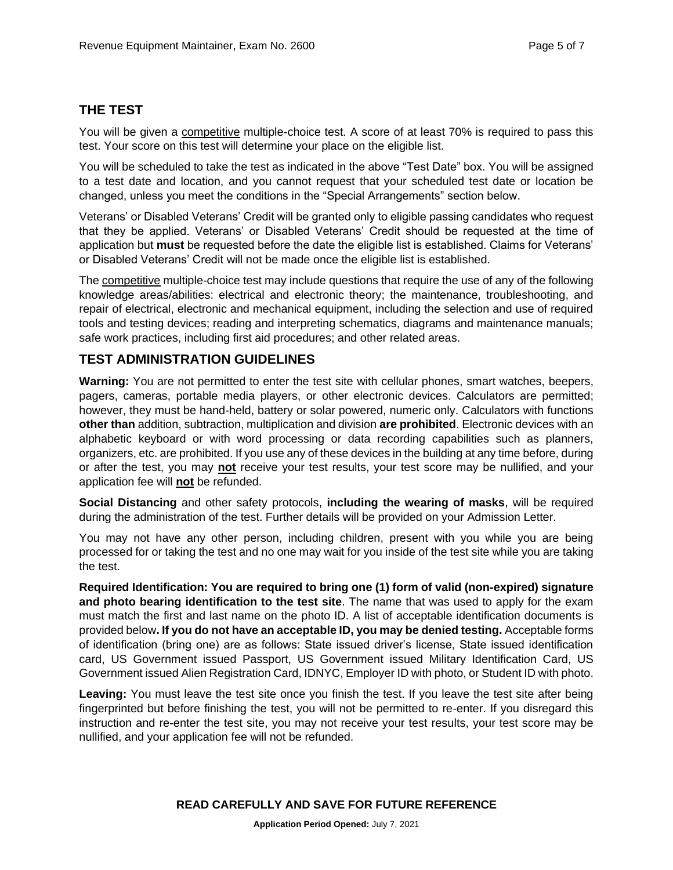#### **THE TEST**

You will be given a competitive multiple-choice test. A score of at least 70% is required to pass this test. Your score on this test will determine your place on the eligible list.

You will be scheduled to take the test as indicated in the above "Test Date" box. You will be assigned to a test date and location, and you cannot request that your scheduled test date or location be changed, unless you meet the conditions in the "Special Arrangements" section below.

Veterans' or Disabled Veterans' Credit will be granted only to eligible passing candidates who request that they be applied. Veterans' or Disabled Veterans' Credit should be requested at the time of application but **must** be requested before the date the eligible list is established. Claims for Veterans' or Disabled Veterans' Credit will not be made once the eligible list is established.

The competitive multiple-choice test may include questions that require the use of any of the following knowledge areas/abilities: electrical and electronic theory; the maintenance, troubleshooting, and repair of electrical, electronic and mechanical equipment, including the selection and use of required tools and testing devices; reading and interpreting schematics, diagrams and maintenance manuals; safe work practices, including first aid procedures; and other related areas.

#### **TEST ADMINISTRATION GUIDELINES**

**Warning:** You are not permitted to enter the test site with cellular phones, smart watches, beepers, pagers, cameras, portable media players, or other electronic devices. Calculators are permitted; however, they must be hand-held, battery or solar powered, numeric only. Calculators with functions **other than** addition, subtraction, multiplication and division **are prohibited**. Electronic devices with an alphabetic keyboard or with word processing or data recording capabilities such as planners, organizers, etc. are prohibited. If you use any of these devices in the building at any time before, during or after the test, you may **not** receive your test results, your test score may be nullified, and your application fee will **not** be refunded.

**Social Distancing** and other safety protocols, **including the wearing of masks**, will be required during the administration of the test. Further details will be provided on your Admission Letter.

You may not have any other person, including children, present with you while you are being processed for or taking the test and no one may wait for you inside of the test site while you are taking the test.

**Required Identification: You are required to bring one (1) form of valid (non-expired) signature and photo bearing identification to the test site**. The name that was used to apply for the exam must match the first and last name on the photo ID. A list of acceptable identification documents is provided below**. If you do not have an acceptable ID, you may be denied testing.** Acceptable forms of identification (bring one) are as follows: State issued driver's license, State issued identification card, US Government issued Passport, US Government issued Military Identification Card, US Government issued Alien Registration Card, IDNYC, Employer ID with photo, or Student ID with photo.

Leaving: You must leave the test site once you finish the test. If you leave the test site after being fingerprinted but before finishing the test, you will not be permitted to re-enter. If you disregard this instruction and re-enter the test site, you may not receive your test results, your test score may be nullified, and your application fee will not be refunded.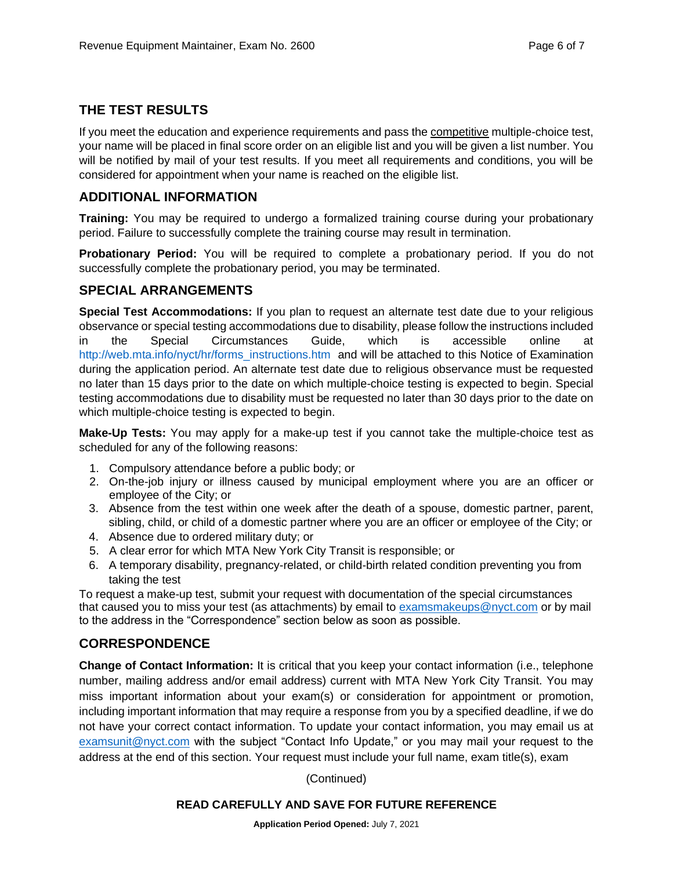#### **THE TEST RESULTS**

If you meet the education and experience requirements and pass the competitive multiple-choice test, your name will be placed in final score order on an eligible list and you will be given a list number. You will be notified by mail of your test results. If you meet all requirements and conditions, you will be considered for appointment when your name is reached on the eligible list.

#### **ADDITIONAL INFORMATION**

**Training:** You may be required to undergo a formalized training course during your probationary period. Failure to successfully complete the training course may result in termination.

**Probationary Period:** You will be required to complete a probationary period. If you do not successfully complete the probationary period, you may be terminated.

#### **SPECIAL ARRANGEMENTS**

**Special Test Accommodations:** If you plan to request an alternate test date due to your religious observance or special testing accommodations due to disability, please follow the instructions included in the Special Circumstances Guide, which is accessible online at [http://web.mta.info/nyct/hr/forms\\_instructions.htm](http://web.mta.info/nyct/hr/forms_instructions.htm) and will be attached to this Notice of Examination during the application period. An alternate test date due to religious observance must be requested no later than 15 days prior to the date on which multiple-choice testing is expected to begin. Special testing accommodations due to disability must be requested no later than 30 days prior to the date on which multiple-choice testing is expected to begin.

**Make-Up Tests:** You may apply for a make-up test if you cannot take the multiple-choice test as scheduled for any of the following reasons:

- 1. Compulsory attendance before a public body; or
- 2. On-the-job injury or illness caused by municipal employment where you are an officer or employee of the City; or
- 3. Absence from the test within one week after the death of a spouse, domestic partner, parent, sibling, child, or child of a domestic partner where you are an officer or employee of the City; or
- 4. Absence due to ordered military duty; or
- 5. A clear error for which MTA New York City Transit is responsible; or
- 6. A temporary disability, pregnancy-related, or child-birth related condition preventing you from taking the test

To request a make-up test, submit your request with documentation of the special circumstances that caused you to miss your test (as attachments) by email to [examsmakeups@nyct.com](mailto:examsmakeups@nyct.com) or by mail to the address in the "Correspondence" section below as soon as possible.

#### **CORRESPONDENCE**

**Change of Contact Information:** It is critical that you keep your contact information (i.e., telephone number, mailing address and/or email address) current with MTA New York City Transit. You may miss important information about your exam(s) or consideration for appointment or promotion, including important information that may require a response from you by a specified deadline, if we do not have your correct contact information. To update your contact information, you may email us at [examsunit@nyct.com](mailto:examsunit@nyct.com) with the subject "Contact Info Update," or you may mail your request to the address at the end of this section. Your request must include your full name, exam title(s), exam

(Continued)